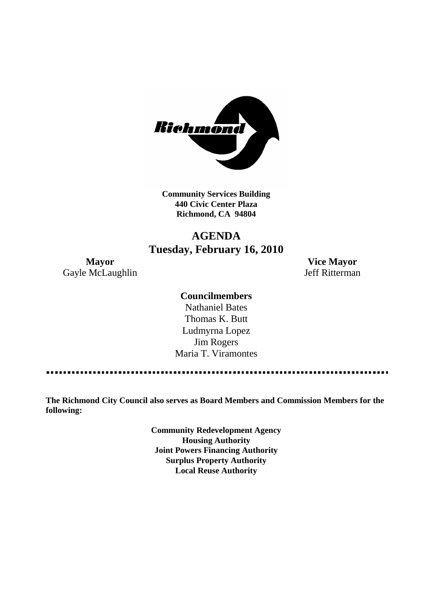

**Community Services Building 440 Civic Center Plaza Richmond, CA 94804**

# **AGENDA Tuesday, February 16, 2010**

**Mayor Vice Mayor** Gayle McLaughlin Jeff Ritterman

### **Councilmembers**

Nathaniel Bates Thomas K. Butt Ludmyrna Lopez Jim Rogers Maria T. Viramontes

**The Richmond City Council also serves as Board Members and Commission Members for the following:**

> **Community Redevelopment Agency Housing Authority Joint Powers Financing Authority Surplus Property Authority Local Reuse Authority**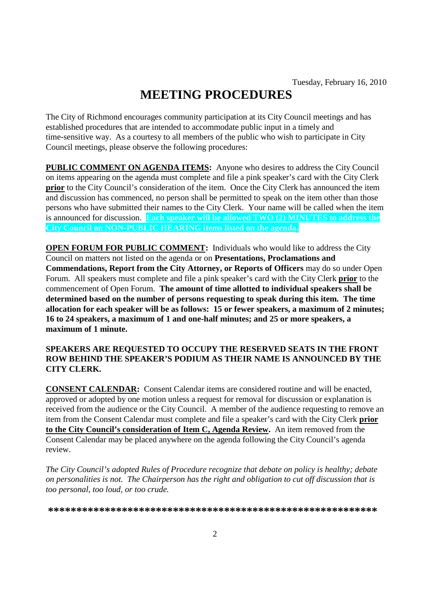# **MEETING PROCEDURES**

The City of Richmond encourages community participation at its City Council meetings and has established procedures that are intended to accommodate public input in a timely and time-sensitive way. As a courtesy to all members of the public who wish to participate in City Council meetings, please observe the following procedures:

**PUBLIC COMMENT ON AGENDA ITEMS:** Anyone who desires to address the City Council on items appearing on the agenda must complete and file a pink speaker's card with the City Clerk **prior** to the City Council's consideration of the item. Once the City Clerk has announced the item and discussion has commenced, no person shall be permitted to speak on the item other than those persons who have submitted their names to the City Clerk. Your name will be called when the item is announced for discussion. **Each speaker will be allowed TWO (2) MINUTES to address the City Council on NON-PUBLIC HEARING items listed on the agenda.**

**OPEN FORUM FOR PUBLIC COMMENT:** Individuals who would like to address the City Council on matters not listed on the agenda or on **Presentations, Proclamations and Commendations, Report from the City Attorney, or Reports of Officers** may do so under Open Forum. All speakers must complete and file a pink speaker's card with the City Clerk **prior** to the commencement of Open Forum. **The amount of time allotted to individual speakers shall be determined based on the number of persons requesting to speak during this item. The time allocation for each speaker will be as follows: 15 or fewer speakers, a maximum of 2 minutes; 16 to 24 speakers, a maximum of 1 and one-half minutes; and 25 or more speakers, a maximum of 1 minute.**

### **SPEAKERS ARE REQUESTED TO OCCUPY THE RESERVED SEATS IN THE FRONT ROW BEHIND THE SPEAKER'S PODIUM AS THEIR NAME IS ANNOUNCED BY THE CITY CLERK.**

**CONSENT CALENDAR:** Consent Calendar items are considered routine and will be enacted, approved or adopted by one motion unless a request for removal for discussion or explanation is received from the audience or the City Council. A member of the audience requesting to remove an item from the Consent Calendar must complete and file a speaker's card with the City Clerk **prior to the City Council's consideration of Item C, Agenda Review.** An item removed from the Consent Calendar may be placed anywhere on the agenda following the City Council's agenda review.

*The City Council's adopted Rules of Procedure recognize that debate on policy is healthy; debate on personalities is not. The Chairperson has the right and obligation to cut off discussion that is too personal, too loud, or too crude.*

**\*\*\*\*\*\*\*\*\*\*\*\*\*\*\*\*\*\*\*\*\*\*\*\*\*\*\*\*\*\*\*\*\*\*\*\*\*\*\*\*\*\*\*\*\*\*\*\*\*\*\*\*\*\*\*\*\*\***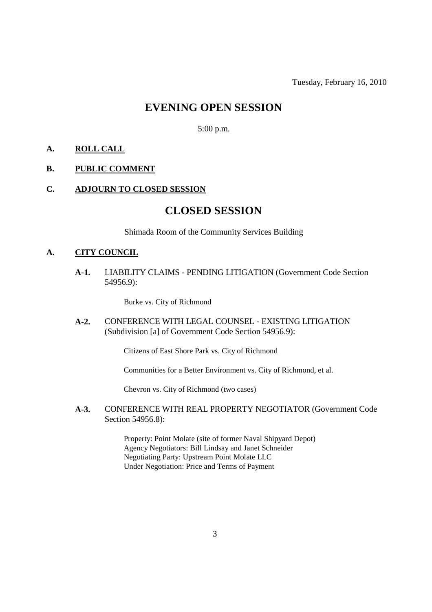# **EVENING OPEN SESSION**

5:00 p.m.

### **A. ROLL CALL**

### **B. PUBLIC COMMENT**

### **C. ADJOURN TO CLOSED SESSION**

### **CLOSED SESSION**

Shimada Room of the Community Services Building

### **A. CITY COUNCIL**

**A-1.** LIABILITY CLAIMS - PENDING LITIGATION (Government Code Section 54956.9):

Burke vs. City of Richmond

**A-2.** CONFERENCE WITH LEGAL COUNSEL - EXISTING LITIGATION (Subdivision [a] of Government Code Section 54956.9):

Citizens of East Shore Park vs. City of Richmond

Communities for a Better Environment vs. City of Richmond, et al.

Chevron vs. City of Richmond (two cases)

**A-3.** CONFERENCE WITH REAL PROPERTY NEGOTIATOR (Government Code Section 54956.8):

> Property: Point Molate (site of former Naval Shipyard Depot) Agency Negotiators: Bill Lindsay and Janet Schneider Negotiating Party: Upstream Point Molate LLC Under Negotiation: Price and Terms of Payment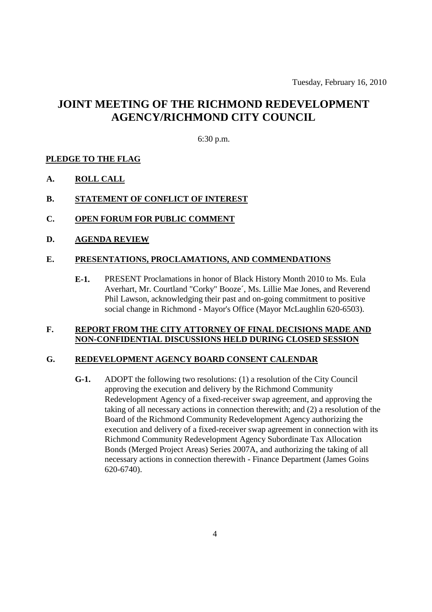# **JOINT MEETING OF THE RICHMOND REDEVELOPMENT AGENCY/RICHMOND CITY COUNCIL**

6:30 p.m.

### **PLEDGE TO THE FLAG**

- **A. ROLL CALL**
- **B. STATEMENT OF CONFLICT OF INTEREST**
- **C. OPEN FORUM FOR PUBLIC COMMENT**
- **D. AGENDA REVIEW**

### **E. PRESENTATIONS, PROCLAMATIONS, AND COMMENDATIONS**

**E-1.** PRESENT Proclamations in honor of Black History Month 2010 to Ms. Eula Averhart, Mr. Courtland "Corky" Booze´, Ms. Lillie Mae Jones, and Reverend Phil Lawson, acknowledging their past and on-going commitment to positive social change in Richmond - Mayor's Office (Mayor McLaughlin 620-6503).

#### **F. REPORT FROM THE CITY ATTORNEY OF FINAL DECISIONS MADE AND NON-CONFIDENTIAL DISCUSSIONS HELD DURING CLOSED SESSION**

### **G. REDEVELOPMENT AGENCY BOARD CONSENT CALENDAR**

**G-1.** ADOPT the following two resolutions: (1) a resolution of the City Council approving the execution and delivery by the Richmond Community Redevelopment Agency of a fixed-receiver swap agreement, and approving the taking of all necessary actions in connection therewith; and (2) a resolution of the Board of the Richmond Community Redevelopment Agency authorizing the execution and delivery of a fixed-receiver swap agreement in connection with its Richmond Community Redevelopment Agency Subordinate Tax Allocation Bonds (Merged Project Areas) Series 2007A, and authorizing the taking of all necessary actions in connection therewith - Finance Department (James Goins 620-6740).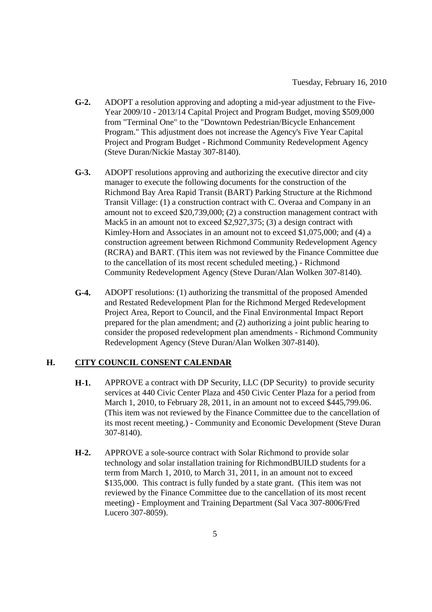- **G-2.** ADOPT a resolution approving and adopting a mid-year adjustment to the Five-Year 2009/10 - 2013/14 Capital Project and Program Budget, moving \$509,000 from "Terminal One" to the "Downtown Pedestrian/Bicycle Enhancement Program." This adjustment does not increase the Agency's Five Year Capital Project and Program Budget - Richmond Community Redevelopment Agency (Steve Duran/Nickie Mastay 307-8140).
- **G-3.** ADOPT resolutions approving and authorizing the executive director and city manager to execute the following documents for the construction of the Richmond Bay Area Rapid Transit (BART) Parking Structure at the Richmond Transit Village: (1) a construction contract with C. Overaa and Company in an amount not to exceed \$20,739,000; (2) a construction management contract with Mack5 in an amount not to exceed \$2,927,375; (3) a design contract with Kimley-Horn and Associates in an amount not to exceed \$1,075,000; and (4) a construction agreement between Richmond Community Redevelopment Agency (RCRA) and BART. (This item was not reviewed by the Finance Committee due to the cancellation of its most recent scheduled meeting.) - Richmond Community Redevelopment Agency (Steve Duran/Alan Wolken 307-8140).
- **G-4.** ADOPT resolutions: (1) authorizing the transmittal of the proposed Amended and Restated Redevelopment Plan for the Richmond Merged Redevelopment Project Area, Report to Council, and the Final Environmental Impact Report prepared for the plan amendment; and (2) authorizing a joint public hearing to consider the proposed redevelopment plan amendments - Richmond Community Redevelopment Agency (Steve Duran/Alan Wolken 307-8140).

### **H. CITY COUNCIL CONSENT CALENDAR**

- **H-1.** APPROVE a contract with DP Security, LLC (DP Security) to provide security services at 440 Civic Center Plaza and 450 Civic Center Plaza for a period from March 1, 2010, to February 28, 2011, in an amount not to exceed \$445,799.06. (This item was not reviewed by the Finance Committee due to the cancellation of its most recent meeting.) - Community and Economic Development (Steve Duran 307-8140).
- **H-2.** APPROVE a sole-source contract with Solar Richmond to provide solar technology and solar installation training for RichmondBUILD students for a term from March 1, 2010, to March 31, 2011, in an amount not to exceed \$135,000. This contract is fully funded by a state grant. (This item was not reviewed by the Finance Committee due to the cancellation of its most recent meeting) - Employment and Training Department (Sal Vaca 307-8006/Fred Lucero 307-8059).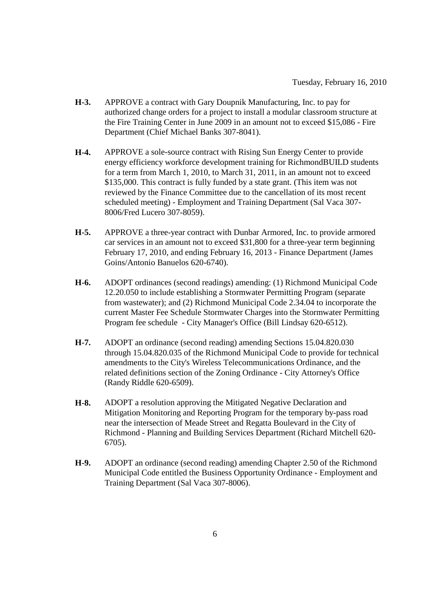- **H-3.** APPROVE a contract with Gary Doupnik Manufacturing, Inc. to pay for authorized change orders for a project to install a modular classroom structure at the Fire Training Center in June 2009 in an amount not to exceed \$15,086 - Fire Department (Chief Michael Banks 307-8041).
- **H-4.** APPROVE a sole-source contract with Rising Sun Energy Center to provide energy efficiency workforce development training for RichmondBUILD students for a term from March 1, 2010, to March 31, 2011, in an amount not to exceed \$135,000. This contract is fully funded by a state grant. (This item was not reviewed by the Finance Committee due to the cancellation of its most recent scheduled meeting) - Employment and Training Department (Sal Vaca 307- 8006/Fred Lucero 307-8059).
- **H-5.** APPROVE a three-year contract with Dunbar Armored, Inc. to provide armored car services in an amount not to exceed \$31,800 for a three-year term beginning February 17, 2010, and ending February 16, 2013 - Finance Department (James Goins/Antonio Banuelos 620-6740).
- **H-6.** ADOPT ordinances (second readings) amending: (1) Richmond Municipal Code 12.20.050 to include establishing a Stormwater Permitting Program (separate from wastewater); and (2) Richmond Municipal Code 2.34.04 to incorporate the current Master Fee Schedule Stormwater Charges into the Stormwater Permitting Program fee schedule - City Manager's Office (Bill Lindsay 620-6512).
- **H-7.** ADOPT an ordinance (second reading) amending Sections 15.04.820.030 through 15.04.820.035 of the Richmond Municipal Code to provide for technical amendments to the City's Wireless Telecommunications Ordinance, and the related definitions section of the Zoning Ordinance - City Attorney's Office (Randy Riddle 620-6509).
- **H-8.** ADOPT a resolution approving the Mitigated Negative Declaration and Mitigation Monitoring and Reporting Program for the temporary by-pass road near the intersection of Meade Street and Regatta Boulevard in the City of Richmond - Planning and Building Services Department (Richard Mitchell 620- 6705).
- **H-9.** ADOPT an ordinance (second reading) amending Chapter 2.50 of the Richmond Municipal Code entitled the Business Opportunity Ordinance - Employment and Training Department (Sal Vaca 307-8006).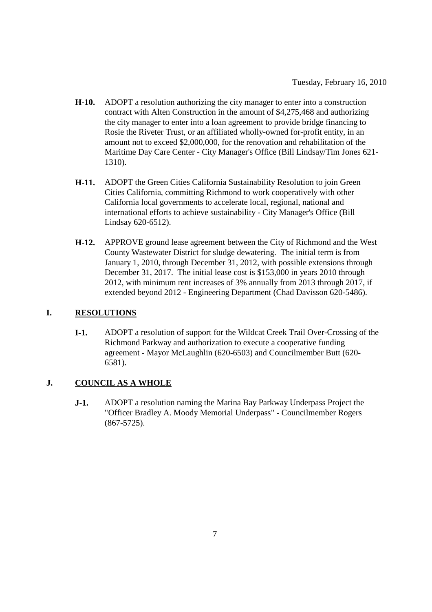- **H-10.** ADOPT a resolution authorizing the city manager to enter into a construction contract with Alten Construction in the amount of \$4,275,468 and authorizing the city manager to enter into a loan agreement to provide bridge financing to Rosie the Riveter Trust, or an affiliated wholly-owned for-profit entity, in an amount not to exceed \$2,000,000, for the renovation and rehabilitation of the Maritime Day Care Center - City Manager's Office (Bill Lindsay/Tim Jones 621- 1310).
- **H-11.** ADOPT the Green Cities California Sustainability Resolution to join Green Cities California, committing Richmond to work cooperatively with other California local governments to accelerate local, regional, national and international efforts to achieve sustainability - City Manager's Office (Bill Lindsay 620-6512).
- **H-12.** APPROVE ground lease agreement between the City of Richmond and the West County Wastewater District for sludge dewatering. The initial term is from January 1, 2010, through December 31, 2012, with possible extensions through December 31, 2017. The initial lease cost is \$153,000 in years 2010 through 2012, with minimum rent increases of 3% annually from 2013 through 2017, if extended beyond 2012 - Engineering Department (Chad Davisson 620-5486).

### **I. RESOLUTIONS**

**I-1.** ADOPT a resolution of support for the Wildcat Creek Trail Over-Crossing of the Richmond Parkway and authorization to execute a cooperative funding agreement - Mayor McLaughlin (620-6503) and Councilmember Butt (620- 6581).

### **J. COUNCIL AS A WHOLE**

**J-1.** ADOPT a resolution naming the Marina Bay Parkway Underpass Project the "Officer Bradley A. Moody Memorial Underpass" - Councilmember Rogers (867-5725).